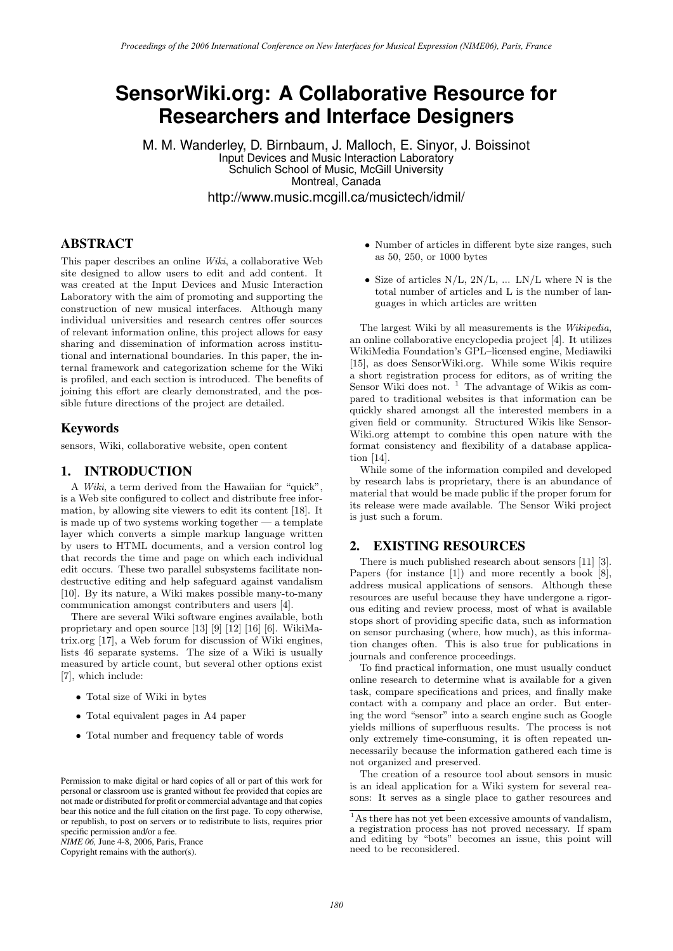# **SensorWiki.org: A Collaborative Resource for Researchers and Interface Designers**

M. M. Wanderley, D. Birnbaum, J. Malloch, E. Sinyor, J. Boissinot Input Devices and Music Interaction Laboratory Schulich School of Music, McGill University Montreal, Canada http://www.music.mcgill.ca/musictech/idmil/

# ABSTRACT

This paper describes an online Wiki, a collaborative Web site designed to allow users to edit and add content. It was created at the Input Devices and Music Interaction Laboratory with the aim of promoting and supporting the construction of new musical interfaces. Although many individual universities and research centres offer sources of relevant information online, this project allows for easy sharing and dissemination of information across institutional and international boundaries. In this paper, the internal framework and categorization scheme for the Wiki is profiled, and each section is introduced. The benefits of joining this effort are clearly demonstrated, and the possible future directions of the project are detailed.

## Keywords

sensors, Wiki, collaborative website, open content

#### 1. INTRODUCTION

A Wiki, a term derived from the Hawaiian for "quick", is a Web site configured to collect and distribute free information, by allowing site viewers to edit its content [18]. It is made up of two systems working together — a template layer which converts a simple markup language written by users to HTML documents, and a version control log that records the time and page on which each individual edit occurs. These two parallel subsystems facilitate nondestructive editing and help safeguard against vandalism [10]. By its nature, a Wiki makes possible many-to-many communication amongst contributers and users [4].

There are several Wiki software engines available, both proprietary and open source [13] [9] [12] [16] [6]. WikiMatrix.org [17], a Web forum for discussion of Wiki engines, lists 46 separate systems. The size of a Wiki is usually measured by article count, but several other options exist [7], which include:

- *•* Total size of Wiki in bytes
- *•* Total equivalent pages in A4 paper
- *•* Total number and frequency table of words

*NIME 06,* June 4-8, 2006, Paris, France

Copyright remains with the author(s).

- *•* Number of articles in different byte size ranges, such as 50, 250, or 1000 bytes
- *•* Size of articles N/L, 2N/L, ... LN/L where N is the total number of articles and L is the number of languages in which articles are written

The largest Wiki by all measurements is the Wikipedia, an online collaborative encyclopedia project [4]. It utilizes WikiMedia Foundation's GPL–licensed engine, Mediawiki [15], as does SensorWiki.org. While some Wikis require a short registration process for editors, as of writing the Sensor Wiki does not.  $1$  The advantage of Wikis as compared to traditional websites is that information can be quickly shared amongst all the interested members in a given field or community. Structured Wikis like Sensor-Wiki.org attempt to combine this open nature with the format consistency and flexibility of a database application [14].

While some of the information compiled and developed by research labs is proprietary, there is an abundance of material that would be made public if the proper forum for its release were made available. The Sensor Wiki project is just such a forum.

#### 2. EXISTING RESOURCES

There is much published research about sensors [11] [3]. Papers (for instance [1]) and more recently a book [8], address musical applications of sensors. Although these resources are useful because they have undergone a rigorous editing and review process, most of what is available stops short of providing specific data, such as information on sensor purchasing (where, how much), as this information changes often. This is also true for publications in journals and conference proceedings.

To find practical information, one must usually conduct online research to determine what is available for a given task, compare specifications and prices, and finally make contact with a company and place an order. But entering the word "sensor" into a search engine such as Google yields millions of superfluous results. The process is not only extremely time-consuming, it is often repeated unnecessarily because the information gathered each time is not organized and preserved.

The creation of a resource tool about sensors in music is an ideal application for a Wiki system for several reasons: It serves as a single place to gather resources and

Permission to make digital or hard copies of all or part of this work for personal or classroom use is granted without fee provided that copies are not made or distributed for profit or commercial advantage and that copies bear this notice and the full citation on the first page. To copy otherwise, or republish, to post on servers or to redistribute to lists, requires prior specific permission and/or a fee.

<sup>&</sup>lt;sup>1</sup>As there has not yet been excessive amounts of vandalism, a registration process has not proved necessary. If spam and editing by "bots" becomes an issue, this point will need to be reconsidered.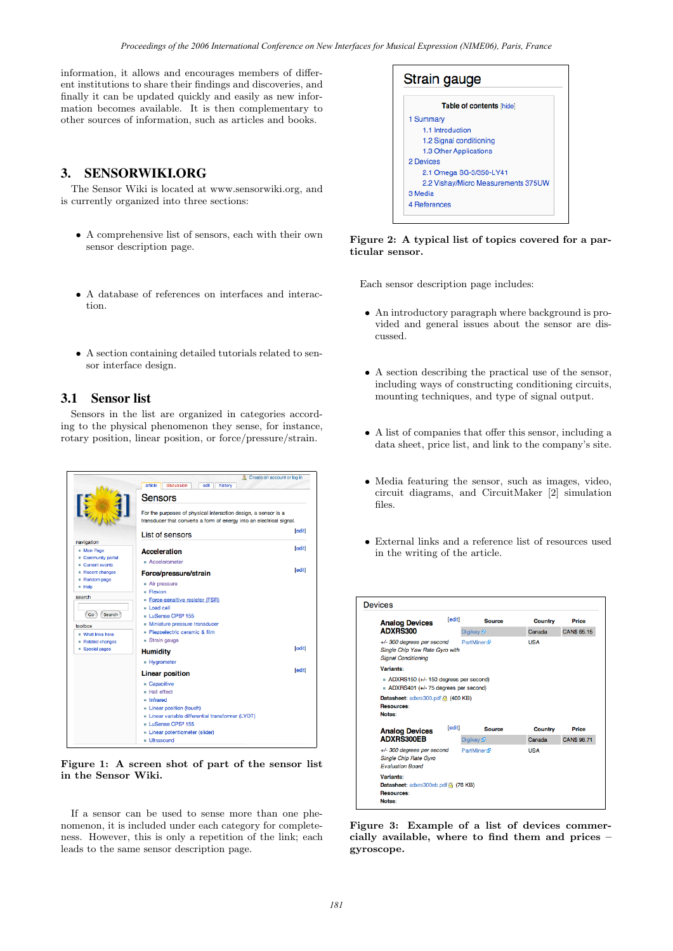information, it allows and encourages members of different institutions to share their findings and discoveries, and finally it can be updated quickly and easily as new information becomes available. It is then complementary to other sources of information, such as articles and books.

# 3. SENSORWIKI.ORG

The Sensor Wiki is located at www.sensorwiki.org, and is currently organized into three sections:

- *•* A comprehensive list of sensors, each with their own sensor description page.
- *•* A database of references on interfaces and interaction.
- *•* A section containing detailed tutorials related to sensor interface design.

## 3.1 Sensor list

Sensors in the list are organized in categories according to the physical phenomenon they sense, for instance, rotary position, linear position, or force/pressure/strain.



**Figure 1: A screen shot of part of the sensor list in the Sensor Wiki.**

If a sensor can be used to sense more than one phenomenon, it is included under each category for completeness. However, this is only a repetition of the link; each leads to the same sensor description page.



#### **Figure 2: A typical list of topics covered for a particular sensor.**

Each sensor description page includes:

- *•* An introductory paragraph where background is provided and general issues about the sensor are discussed.
- *•* A section describing the practical use of the sensor, including ways of constructing conditioning circuits, mounting techniques, and type of signal output.
- *•* A list of companies that offer this sensor, including a data sheet, price list, and link to the company's site.
- *•* Media featuring the sensor, such as images, video, circuit diagrams, and CircuitMaker [2] simulation files.
- *•* External links and a reference list of resources used in the writing of the article.

| <b>Devices</b>                                                                             |        |                               |            |                   |
|--------------------------------------------------------------------------------------------|--------|-------------------------------|------------|-------------------|
| <b>Analog Devices</b>                                                                      | [edit] | <b>Source</b>                 | Country    | Price             |
| <b>ADXRS300</b>                                                                            |        | Digikey &                     | Canada     | <b>CANS 65.15</b> |
| +/- 300 degrees per second<br>Single Chip Yaw Rate Gyro with<br><b>Signal Conditioning</b> |        | <b>PartMiner<sub>re</sub></b> | USA        |                   |
| Variants:                                                                                  |        |                               |            |                   |
| ADXRS150 (+/-150 degrees per second)<br>ADXRS401 (+/-75 degrees per second)                |        |                               |            |                   |
| Datasheet: adxrs300.pdf 400 KB)                                                            |        |                               |            |                   |
| Resources:                                                                                 |        |                               |            |                   |
| Notes:                                                                                     |        |                               |            |                   |
| <b>Analog Devices</b>                                                                      | [edit] | Source                        | Country    | Price             |
| <b>ADXRS300EB</b>                                                                          |        | Digikey &                     | Canada     | <b>CANS 98.71</b> |
| +/- 300 degrees per second<br>Single Chip Rate Gyro                                        |        | PartMiner <sub>®</sub>        | <b>USA</b> |                   |
| <b>Evaluation Board</b>                                                                    |        |                               |            |                   |
| <b>Variants:</b>                                                                           |        |                               |            |                   |
| Datasheet: adxrs300eb.pdf 4 (76 KB)<br><b>Resources:</b>                                   |        |                               |            |                   |

**Figure 3: Example of a list of devices commercially available, where to find them and prices – gyroscope.**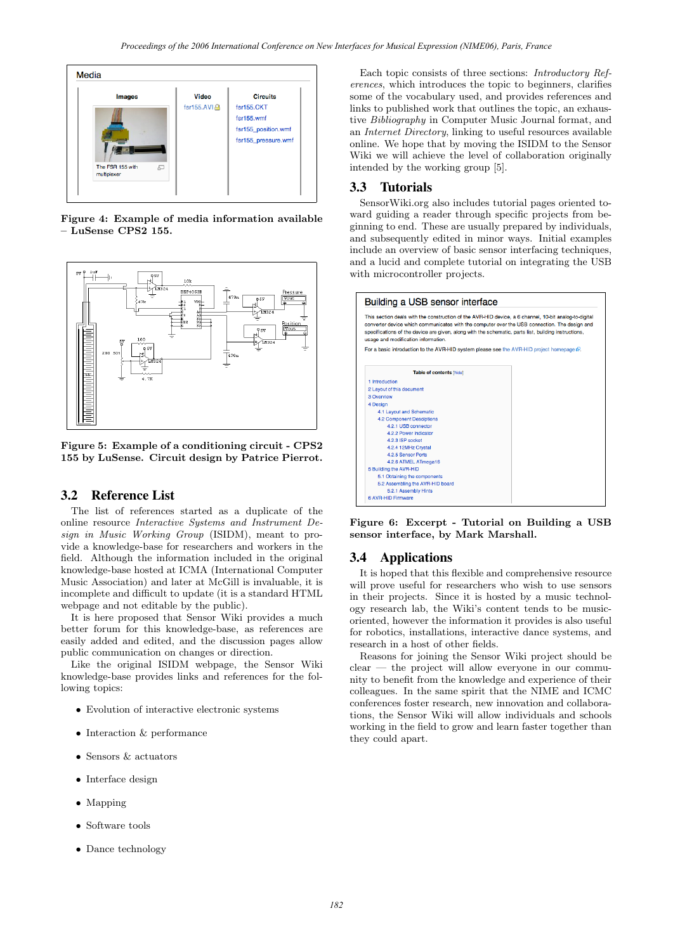

**Figure 4: Example of media information available – LuSense CPS2 155.**



**Figure 5: Example of a conditioning circuit - CPS2 155 by LuSense. Circuit design by Patrice Pierrot.**

### 3.2 Reference List

The list of references started as a duplicate of the online resource Interactive Systems and Instrument Design in Music Working Group (ISIDM), meant to provide a knowledge-base for researchers and workers in the field. Although the information included in the original knowledge-base hosted at ICMA (International Computer Music Association) and later at McGill is invaluable, it is incomplete and difficult to update (it is a standard HTML webpage and not editable by the public).

It is here proposed that Sensor Wiki provides a much better forum for this knowledge-base, as references are easily added and edited, and the discussion pages allow public communication on changes or direction.

Like the original ISIDM webpage, the Sensor Wiki knowledge-base provides links and references for the following topics:

- *•* Evolution of interactive electronic systems
- *•* Interaction & performance
- *•* Sensors & actuators
- *•* Interface design
- *•* Mapping
- *•* Software tools
- *•* Dance technology

Each topic consists of three sections: Introductory References, which introduces the topic to beginners, clarifies some of the vocabulary used, and provides references and links to published work that outlines the topic, an exhaustive Bibliography in Computer Music Journal format, and an Internet Directory, linking to useful resources available online. We hope that by moving the ISIDM to the Sensor Wiki we will achieve the level of collaboration originally intended by the working group [5].

## 3.3 Tutorials

SensorWiki.org also includes tutorial pages oriented toward guiding a reader through specific projects from beginning to end. These are usually prepared by individuals, and subsequently edited in minor ways. Initial examples include an overview of basic sensor interfacing techniques, and a lucid and complete tutorial on integrating the USB with microcontroller projects.



**Figure 6: Excerpt - Tutorial on Building a USB sensor interface, by Mark Marshall.**

#### 3.4 Applications

It is hoped that this flexible and comprehensive resource will prove useful for researchers who wish to use sensors in their projects. Since it is hosted by a music technology research lab, the Wiki's content tends to be musicoriented, however the information it provides is also useful for robotics, installations, interactive dance systems, and research in a host of other fields.

Reasons for joining the Sensor Wiki project should be clear — the project will allow everyone in our community to benefit from the knowledge and experience of their colleagues. In the same spirit that the NIME and ICMC conferences foster research, new innovation and collaborations, the Sensor Wiki will allow individuals and schools working in the field to grow and learn faster together than they could apart.